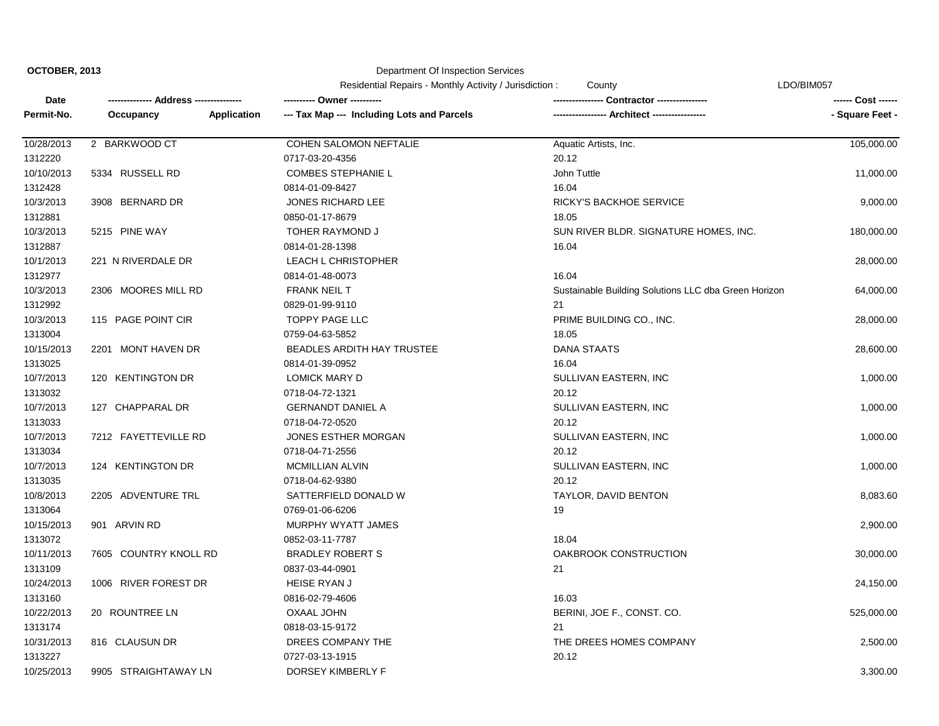**OCTOBER, 2013**

## Department Of Inspection Services

|            |                       | Residential Repairs - Monthly Activity / Jurisdiction:           | County                                               | LDO/BIM057      |  |
|------------|-----------------------|------------------------------------------------------------------|------------------------------------------------------|-----------------|--|
| Date       | --- Address ---       |                                                                  | <b>Contractor ---------------</b>                    |                 |  |
| Permit-No. | Occupancy             | --- Tax Map --- Including Lots and Parcels<br><b>Application</b> | ----------------- Architect -----------------        | - Square Feet - |  |
| 10/28/2013 | 2 BARKWOOD CT         | COHEN SALOMON NEFTALIE                                           | Aquatic Artists, Inc.                                | 105,000.00      |  |
| 1312220    |                       | 0717-03-20-4356                                                  | 20.12                                                |                 |  |
| 10/10/2013 | 5334 RUSSELL RD       | <b>COMBES STEPHANIE L</b>                                        | John Tuttle                                          | 11,000.00       |  |
| 1312428    |                       | 0814-01-09-8427                                                  | 16.04                                                |                 |  |
| 10/3/2013  | 3908 BERNARD DR       | JONES RICHARD LEE                                                | RICKY'S BACKHOE SERVICE                              | 9,000.00        |  |
| 1312881    |                       | 0850-01-17-8679                                                  | 18.05                                                |                 |  |
| 10/3/2013  | 5215 PINE WAY         | <b>TOHER RAYMOND J</b>                                           | SUN RIVER BLDR. SIGNATURE HOMES, INC.                | 180,000.00      |  |
| 1312887    |                       | 0814-01-28-1398                                                  | 16.04                                                |                 |  |
| 10/1/2013  | 221 N RIVERDALE DR    | <b>LEACH L CHRISTOPHER</b>                                       |                                                      | 28,000.00       |  |
| 1312977    |                       | 0814-01-48-0073                                                  | 16.04                                                |                 |  |
| 10/3/2013  | 2306 MOORES MILL RD   | <b>FRANK NEIL T</b>                                              | Sustainable Building Solutions LLC dba Green Horizon | 64,000.00       |  |
| 1312992    |                       | 0829-01-99-9110                                                  | 21                                                   |                 |  |
| 10/3/2013  | 115 PAGE POINT CIR    | <b>TOPPY PAGE LLC</b>                                            | PRIME BUILDING CO., INC.                             | 28,000.00       |  |
| 1313004    |                       | 0759-04-63-5852                                                  | 18.05                                                |                 |  |
| 10/15/2013 | 2201 MONT HAVEN DR    | <b>BEADLES ARDITH HAY TRUSTEE</b>                                | DANA STAATS                                          | 28,600.00       |  |
| 1313025    |                       | 0814-01-39-0952                                                  | 16.04                                                |                 |  |
| 10/7/2013  | 120 KENTINGTON DR     | <b>LOMICK MARY D</b>                                             | SULLIVAN EASTERN, INC                                | 1,000.00        |  |
| 1313032    |                       | 0718-04-72-1321                                                  | 20.12                                                |                 |  |
| 10/7/2013  | 127 CHAPPARAL DR      | <b>GERNANDT DANIEL A</b>                                         | SULLIVAN EASTERN, INC                                | 1,000.00        |  |
| 1313033    |                       | 0718-04-72-0520                                                  | 20.12                                                |                 |  |
| 10/7/2013  | 7212 FAYETTEVILLE RD  | JONES ESTHER MORGAN                                              | SULLIVAN EASTERN, INC                                | 1,000.00        |  |
| 1313034    |                       | 0718-04-71-2556                                                  | 20.12                                                |                 |  |
| 10/7/2013  | 124 KENTINGTON DR     | <b>MCMILLIAN ALVIN</b>                                           | SULLIVAN EASTERN, INC                                | 1,000.00        |  |
| 1313035    |                       | 0718-04-62-9380                                                  | 20.12                                                |                 |  |
| 10/8/2013  | 2205 ADVENTURE TRL    | SATTERFIELD DONALD W                                             | TAYLOR, DAVID BENTON                                 | 8,083.60        |  |
| 1313064    |                       | 0769-01-06-6206                                                  | 19                                                   |                 |  |
| 10/15/2013 | 901 ARVIN RD          | MURPHY WYATT JAMES                                               |                                                      | 2,900.00        |  |
| 1313072    |                       | 0852-03-11-7787                                                  | 18.04                                                |                 |  |
| 10/11/2013 | 7605 COUNTRY KNOLL RD | <b>BRADLEY ROBERT S</b>                                          | OAKBROOK CONSTRUCTION                                | 30,000.00       |  |
| 1313109    |                       | 0837-03-44-0901                                                  | 21                                                   |                 |  |
| 10/24/2013 | 1006 RIVER FOREST DR  | <b>HEISE RYAN J</b>                                              |                                                      | 24,150.00       |  |
| 1313160    |                       | 0816-02-79-4606                                                  | 16.03                                                |                 |  |
| 10/22/2013 | 20 ROUNTREE LN        | <b>OXAAL JOHN</b>                                                | BERINI, JOE F., CONST. CO.                           | 525,000.00      |  |
| 1313174    |                       | 0818-03-15-9172                                                  | 21                                                   |                 |  |
| 10/31/2013 | 816 CLAUSUN DR        | DREES COMPANY THE                                                | THE DREES HOMES COMPANY                              | 2,500.00        |  |
| 1313227    |                       | 0727-03-13-1915                                                  | 20.12                                                |                 |  |
| 10/25/2013 | 9905 STRAIGHTAWAY LN  | DORSEY KIMBERLY F                                                |                                                      | 3,300.00        |  |